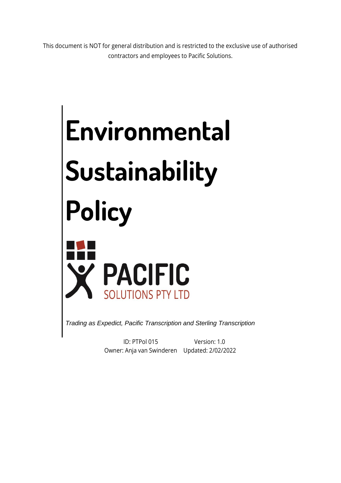This document is NOT for general distribution and is restricted to the exclusive use of authorised contractors and employees to Pacific Solutions.

# **Environmental Sustainability Policy PACIFIC**<br>SOLUTIONS PTY LTD

*Trading as Expedict, Pacific Transcription and Sterling Transcription*

ID: PTPol 015 Owner: Anja van Swinderen Updated: 2/02/2022Version: 1.0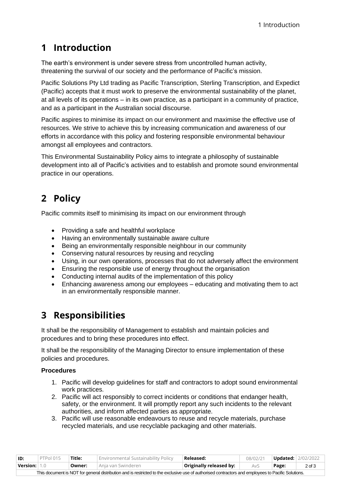## **1 Introduction**

The earth's environment is under severe stress from uncontrolled human activity, threatening the survival of our society and the performance of Pacific's mission.

Pacific Solutions Pty Ltd trading as Pacific Transcription, Sterling Transcription, and Expedict (Pacific) accepts that it must work to preserve the environmental sustainability of the planet, at all levels of its operations – in its own practice, as a participant in a community of practice, and as a participant in the Australian social discourse.

Pacific aspires to minimise its impact on our environment and maximise the effective use of resources. We strive to achieve this by increasing communication and awareness of our efforts in accordance with this policy and fostering responsible environmental behaviour amongst all employees and contractors.

This Environmental Sustainability Policy aims to integrate a philosophy of sustainable development into all of Pacific's activities and to establish and promote sound environmental practice in our operations.

# **2 Policy**

Pacific commits itself to minimising its impact on our environment through

- Providing a safe and healthful workplace
- Having an environmentally sustainable aware culture
- Being an environmentally responsible neighbour in our community
- Conserving natural resources by reusing and recycling
- Using, in our own operations, processes that do not adversely affect the environment
- Ensuring the responsible use of energy throughout the organisation
- Conducting internal audits of the implementation of this policy
- Enhancing awareness among our employees educating and motivating them to act in an environmentally responsible manner.

## **3 Responsibilities**

It shall be the responsibility of Management to establish and maintain policies and procedures and to bring these procedures into effect.

It shall be the responsibility of the Managing Director to ensure implementation of these policies and procedures.

#### **Procedures**

- 1. Pacific will develop guidelines for staff and contractors to adopt sound environmental work practices.
- 2. Pacific will act responsibly to correct incidents or conditions that endanger health, safety, or the environment. It will promptly report any such incidents to the relevant authorities, and inform affected parties as appropriate.
- 3. Pacific will use reasonable endeavours to reuse and recycle materials, purchase recycled materials, and use recyclable packaging and other materials.

| ID:                                                                                                                                                | PTPol 015 | Title: | Environmental Sustainability Policy | Released:               | 08/02/21 |       | <b>Updated:</b> 2/02/2022 |  |  |  |  |
|----------------------------------------------------------------------------------------------------------------------------------------------------|-----------|--------|-------------------------------------|-------------------------|----------|-------|---------------------------|--|--|--|--|
| $\mid$ Version: $\mid$ 1.0 $\mid$                                                                                                                  |           | Owner: | Anja van Swinderen                  | Originally released by: | AvS      | Page: | $2$ of $3$                |  |  |  |  |
| This document is NOT for general distribution and is restricted to the exclusive use of authorised contractors and employees to Pacific Solutions. |           |        |                                     |                         |          |       |                           |  |  |  |  |